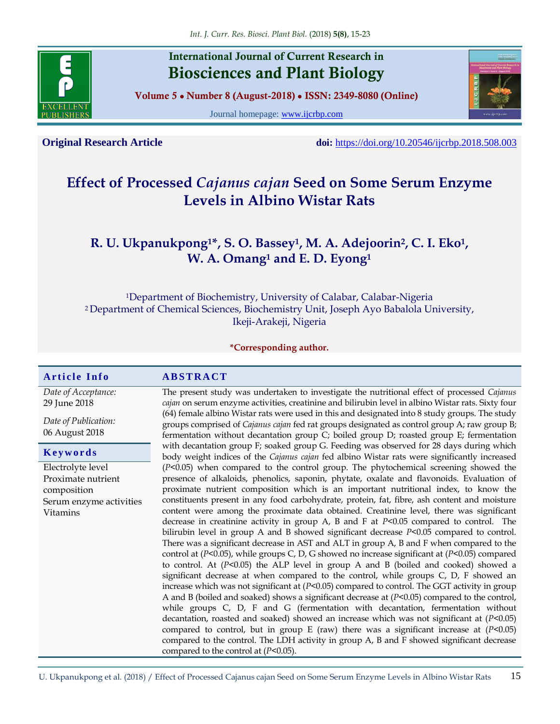

## **International Journal of Current Research in Biosciences and Plant Biology**

**Volume 5 ● Number 8 (August-2018) ● ISSN: 2349-8080 (Online)**

Journal homepage: [www.ijcrbp.com](http://www.ijcrbp.com/)



**Original Research Article doi:** <https://doi.org/10.20546/ijcrbp.2018.508.003>

# **Effect of Processed** *Cajanus cajan* **Seed on Some Serum Enzyme Levels in Albino Wistar Rats**

## **R. U. Ukpanukpong1\*, S. O. Bassey<sup>1</sup> , M. A. Adejoorin<sup>2</sup> , C. I. Eko<sup>1</sup> , W. A. Omang<sup>1</sup> and E. D. Eyong<sup>1</sup>**

<sup>1</sup>Department of Biochemistry, University of Calabar, Calabar-Nigeria <sup>2</sup>Department of Chemical Sciences, Biochemistry Unit, Joseph Ayo Babalola University, Ikeji-Arakeji, Nigeria

**\*Corresponding author.**

#### **A r t i c l e I n f o A B S T R A C T**

*Date of Acceptance:* 29 June 2018

*Date of Publication:* 06 August 2018

#### **K e y w o r d s**

Electrolyte level Proximate nutrient composition Serum enzyme activities Vitamins

The present study was undertaken to investigate the nutritional effect of processed *Cajanus cajan* on serum enzyme activities, creatinine and bilirubin level in albino Wistar rats. Sixty four (64) female albino Wistar rats were used in this and designated into 8 study groups. The study groups comprised of *Cajanus cajan* fed rat groups designated as control group A; raw group B; fermentation without decantation group C; boiled group D; roasted group E; fermentation with decantation group F; soaked group G. Feeding was observed for 28 days during which body weight indices of the *Cajanus cajan* fed albino Wistar rats were significantly increased (*P<*0.05) when compared to the control group. The phytochemical screening showed the presence of alkaloids, phenolics, saponin, phytate, oxalate and flavonoids. Evaluation of proximate nutrient composition which is an important nutritional index, to know the constituents present in any food carbohydrate, protein, fat, fibre, ash content and moisture content were among the proximate data obtained. Creatinine level, there was significant decrease in creatinine activity in group A, B and F at *P<*0.05 compared to control. The bilirubin level in group A and B showed significant decrease *P<*0.05 compared to control. There was a significant decrease in AST and ALT in group A, B and F when compared to the control at (*P<*0.05), while groups C, D, G showed no increase significant at (*P<*0.05) compared to control. At (*P<*0.05) the ALP level in group A and B (boiled and cooked) showed a significant decrease at when compared to the control, while groups C, D, F showed an increase which was not significant at (*P<*0.05) compared to control. The GGT activity in group A and B (boiled and soaked) shows a significant decrease at (*P<*0.05) compared to the control, while groups C, D, F and G (fermentation with decantation, fermentation without decantation, roasted and soaked) showed an increase which was not significant at (*P<*0.05) compared to control, but in group E (raw) there was a significant increase at  $(P<0.05)$ compared to the control. The LDH activity in group A, B and F showed significant decrease compared to the control at (*P<*0.05).

U. Ukpanukpong et al. (2018) / Effect of Processed Cajanus cajan Seed on Some Serum Enzyme Levels in Albino Wistar Rats 15

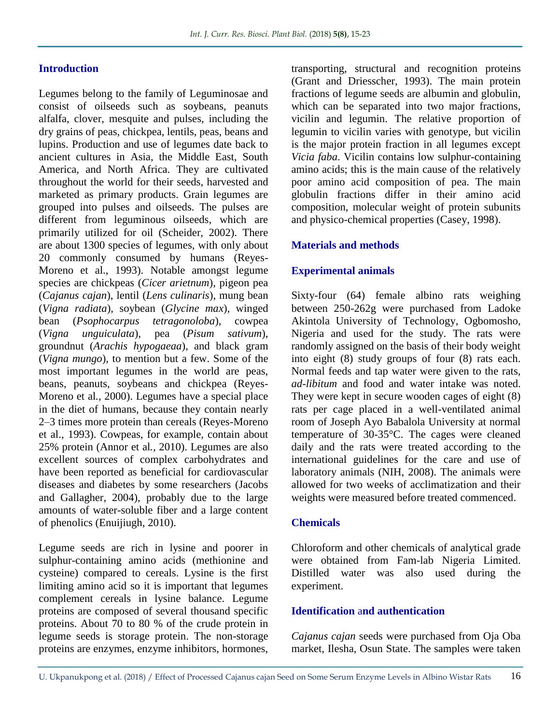#### **Introduction**

Legumes belong to the family of Leguminosae and consist of oilseeds such as soybeans, peanuts alfalfa, clover, mesquite and pulses, including the dry grains of peas, chickpea, lentils, peas, beans and lupins. Production and use of legumes date back to ancient cultures in Asia, the Middle East, South America, and North Africa. They are cultivated throughout the world for their seeds, harvested and marketed as primary products. Grain legumes are grouped into pulses and oilseeds. The pulses are different from leguminous oilseeds, which are primarily utilized for oil (Scheider, 2002). There are about 1300 species of legumes, with only about 20 commonly consumed by humans (Reyes-Moreno et al., 1993). Notable amongst legume species are chickpeas (*Cicer arietnum*), pigeon pea (*Cajanus cajan*), lentil (*Lens culinaris*), mung bean (*Vigna radiata*), soybean (*Glycine max*), winged bean (*Psophocarpus tetragonoloba*), cowpea (*Vigna unguiculata*), pea (*Pisum sativum*), groundnut (*Arachis hypogaeaa*), and black gram (*Vigna mungo*), to mention but a few. Some of the most important legumes in the world are peas, beans, peanuts, soybeans and chickpea (Reyes-Moreno et al*.,* 2000). Legumes have a special place in the diet of humans, because they contain nearly 2–3 times more protein than cereals (Reyes-Moreno et al., 1993). Cowpeas, for example, contain about 25% protein (Annor et al*.,* 2010). Legumes are also excellent sources of complex carbohydrates and have been reported as beneficial for cardiovascular diseases and diabetes by some researchers (Jacobs and Gallagher, 2004), probably due to the large amounts of water-soluble fiber and a large content of phenolics (Enuijiugh, 2010).

Legume seeds are rich in lysine and poorer in sulphur-containing amino acids (methionine and cysteine) compared to cereals. Lysine is the first limiting amino acid so it is important that legumes complement cereals in lysine balance. Legume proteins are composed of several thousand specific proteins. About 70 to 80 % of the crude protein in legume seeds is storage protein. The non-storage proteins are enzymes, enzyme inhibitors, hormones,

transporting, structural and recognition proteins (Grant and Driesscher, 1993). The main protein fractions of legume seeds are albumin and globulin, which can be separated into two major fractions, vicilin and legumin. The relative proportion of legumin to vicilin varies with genotype, but vicilin is the major protein fraction in all legumes except *Vicia faba*. Vicilin contains low sulphur-containing amino acids; this is the main cause of the relatively poor amino acid composition of pea. The main globulin fractions differ in their amino acid composition, molecular weight of protein subunits and physico-chemical properties (Casey, 1998).

#### **Materials and methods**

#### **Experimental animals**

Sixty-four (64) female albino rats weighing between 250-262g were purchased from Ladoke Akintola University of Technology, Ogbomosho, Nigeria and used for the study. The rats were randomly assigned on the basis of their body weight into eight (8) study groups of four (8) rats each. Normal feeds and tap water were given to the rats, *ad-libitum* and food and water intake was noted. They were kept in secure wooden cages of eight (8) rats per cage placed in a well-ventilated animal room of Joseph Ayo Babalola University at normal temperature of 30-35°C. The cages were cleaned daily and the rats were treated according to the international guidelines for the care and use of laboratory animals (NIH, 2008). The animals were allowed for two weeks of acclimatization and their weights were measured before treated commenced.

#### **Chemicals**

Chloroform and other chemicals of analytical grade were obtained from Fam-lab Nigeria Limited. Distilled water was also used during the experiment.

#### **Identification** a**nd authentication**

*Cajanus cajan* seeds were purchased from Oja Oba market, Ilesha, Osun State. The samples were taken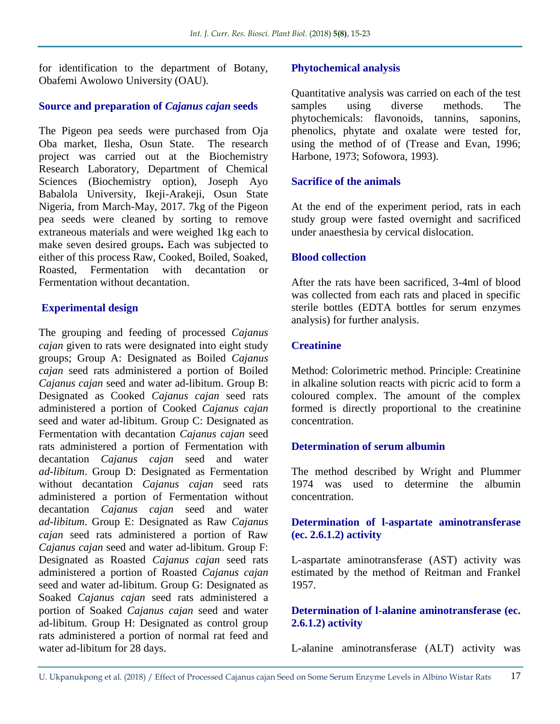for identification to the department of Botany, Obafemi Awolowo University (OAU).

## **Source and preparation of** *Cajanus cajan* **seeds**

The Pigeon pea seeds were purchased from Oja Oba market, Ilesha, Osun State. The research project was carried out at the Biochemistry Research Laboratory, Department of Chemical Sciences (Biochemistry option), Joseph Ayo Babalola University, Ikeji-Arakeji, Osun State Nigeria, from March-May, 2017. 7kg of the Pigeon pea seeds were cleaned by sorting to remove extraneous materials and were weighed 1kg each to make seven desired groups**.** Each was subjected to either of this process Raw, Cooked, Boiled, Soaked, Roasted, Fermentation with decantation or Fermentation without decantation.

## **Experimental design**

The grouping and feeding of processed *Cajanus cajan* given to rats were designated into eight study groups; Group A: Designated as Boiled *Cajanus cajan* seed rats administered a portion of Boiled *Cajanus cajan* seed and water ad-libitum. Group B: Designated as Cooked *Cajanus cajan* seed rats administered a portion of Cooked *Cajanus cajan* seed and water ad-libitum. Group C: Designated as Fermentation with decantation *Cajanus cajan* seed rats administered a portion of Fermentation with decantation *Cajanus cajan* seed and water *ad-libitum*. Group D: Designated as Fermentation without decantation *Cajanus cajan* seed rats administered a portion of Fermentation without decantation *Cajanus cajan* seed and water *ad-libitum*. Group E: Designated as Raw *Cajanus cajan* seed rats administered a portion of Raw *Cajanus cajan* seed and water ad-libitum. Group F: Designated as Roasted *Cajanus cajan* seed rats administered a portion of Roasted *Cajanus cajan* seed and water ad-libitum. Group G: Designated as Soaked *Cajanus cajan* seed rats administered a portion of Soaked *Cajanus cajan* seed and water ad-libitum. Group H: Designated as control group rats administered a portion of normal rat feed and water ad-libitum for 28 days.

## **Phytochemical analysis**

Quantitative analysis was carried on each of the test samples using diverse methods. The phytochemicals: flavonoids, tannins, saponins, phenolics, phytate and oxalate were tested for, using the method of of (Trease and Evan, 1996; Harbone, 1973; Sofowora, 1993).

#### **Sacrifice of the animals**

At the end of the experiment period, rats in each study group were fasted overnight and sacrificed under anaesthesia by cervical dislocation.

#### **Blood collection**

After the rats have been sacrificed, 3-4ml of blood was collected from each rats and placed in specific sterile bottles (EDTA bottles for serum enzymes analysis) for further analysis.

## **Creatinine**

Method: Colorimetric method. Principle: Creatinine in alkaline solution reacts with picric acid to form a coloured complex. The amount of the complex formed is directly proportional to the creatinine concentration.

## **Determination of serum albumin**

The method described by Wright and Plummer 1974 was used to determine the albumin concentration.

#### **Determination of l-aspartate aminotransferase (ec. 2.6.1.2) activity**

L-aspartate aminotransferase (AST) activity was estimated by the method of Reitman and Frankel 1957.

#### **Determination of l-alanine aminotransferase (ec. 2.6.1.2) activity**

L-alanine aminotransferase (ALT) activity was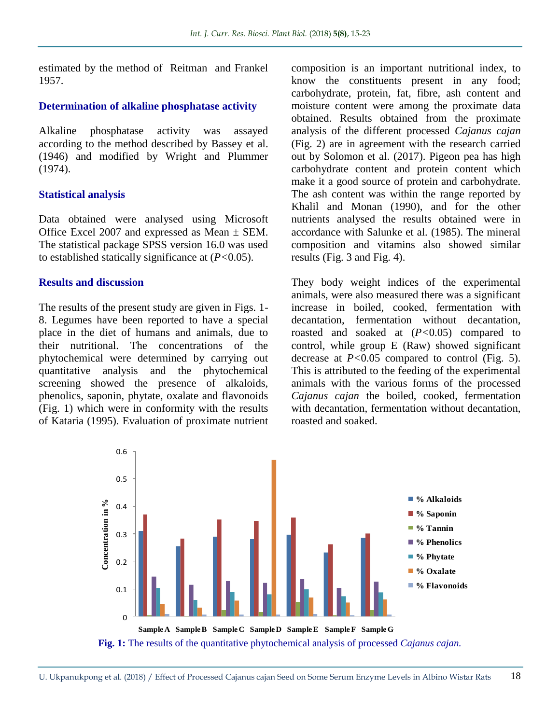estimated by the method of Reitman and Frankel 1957.

#### **Determination of alkaline phosphatase activity**

Alkaline phosphatase activity was assayed according to the method described by Bassey et al. (1946) and modified by Wright and Plummer (1974).

#### **Statistical analysis**

Data obtained were analysed using Microsoft Office Excel 2007 and expressed as Mean  $\pm$  SEM. The statistical package SPSS version 16.0 was used to established statically significance at (*P<*0.05).

#### **Results and discussion**

The results of the present study are given in Figs. 1- 8. Legumes have been reported to have a special place in the diet of humans and animals, due to their nutritional. The concentrations of the phytochemical were determined by carrying out quantitative analysis and the phytochemical screening showed the presence of alkaloids, phenolics, saponin, phytate, oxalate and flavonoids (Fig. 1) which were in conformity with the results of Kataria (1995). Evaluation of proximate nutrient

composition is an important nutritional index, to know the constituents present in any food; carbohydrate, protein, fat, fibre, ash content and moisture content were among the proximate data obtained. Results obtained from the proximate analysis of the different processed *Cajanus cajan* (Fig. 2) are in agreement with the research carried out by Solomon et al. (2017). Pigeon pea has high carbohydrate content and protein content which make it a good source of protein and carbohydrate. The ash content was within the range reported by Khalil and Monan (1990), and for the other nutrients analysed the results obtained were in accordance with Salunke et al. (1985). The mineral composition and vitamins also showed similar results (Fig. 3 and Fig. 4).

They body weight indices of the experimental animals, were also measured there was a significant increase in boiled, cooked, fermentation with decantation, fermentation without decantation, roasted and soaked at (*P<*0.05) compared to control, while group E (Raw) showed significant decrease at *P<*0.05 compared to control (Fig. 5). This is attributed to the feeding of the experimental animals with the various forms of the processed *Cajanus cajan* the boiled, cooked, fermentation with decantation, fermentation without decantation, roasted and soaked.

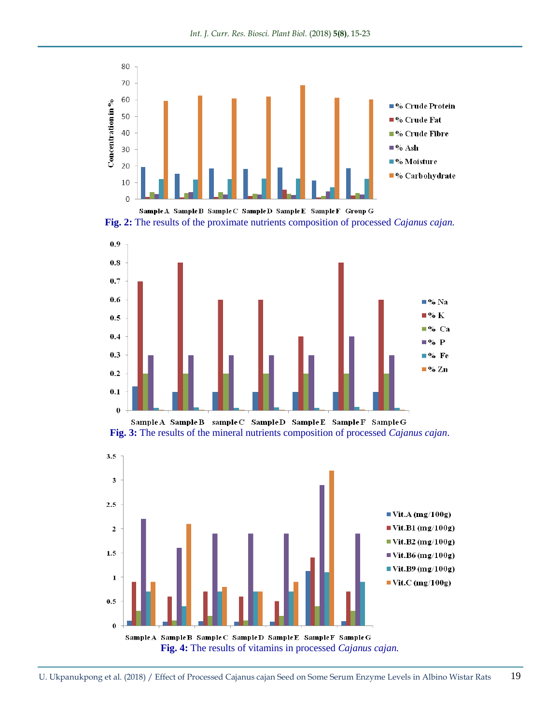





Sample A Sample B sample C Sample D Sample E Sample F Sample G **Fig. 3:** The results of the mineral nutrients composition of processed *Cajanus cajan*.

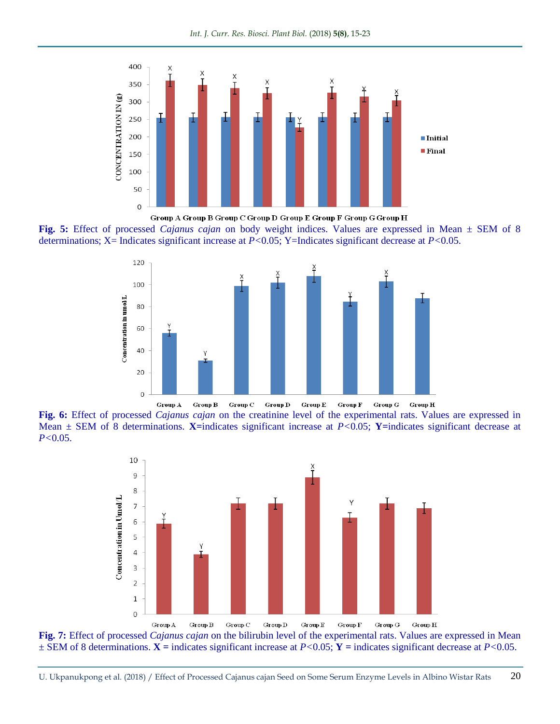

Group A Group B Group C Group D Group E Group F Group G Group H

**Fig. 5:** Effect of processed *Cajanus cajan* on body weight indices. Values are expressed in Mean ± SEM of 8 determinations; X= Indicates significant increase at *P<*0.05; Y=Indicates significant decrease at *P<*0.05.



**Fig. 6:** Effect of processed *Cajanus cajan* on the creatinine level of the experimental rats. Values are expressed in Mean  $\pm$  SEM of 8 determinations. **X**=indicates significant increase at *P*<0.05; **Y**=indicates significant decrease at *P<*0.05.



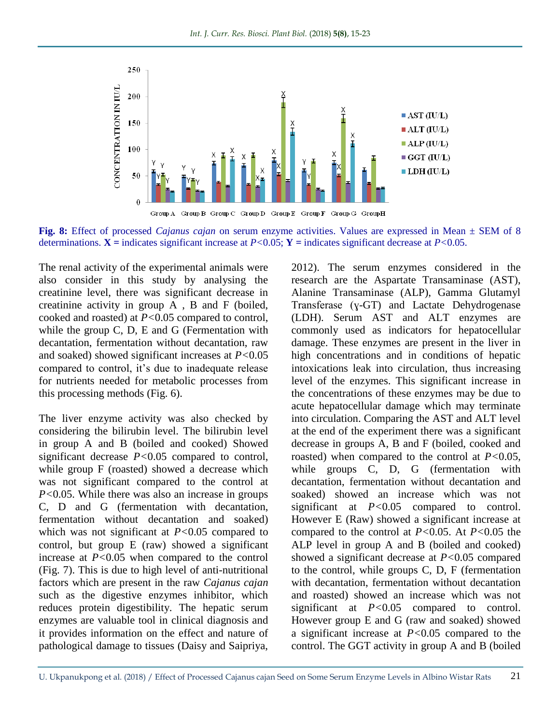

**Fig. 8:** Effect of processed *Cajanus cajan* on serum enzyme activities. Values are expressed in Mean ± SEM of 8 determinations.  $X =$  indicates significant increase at  $P < 0.05$ ;  $Y =$  indicates significant decrease at  $P < 0.05$ .

The renal activity of the experimental animals were also consider in this study by analysing the creatinine level, there was significant decrease in creatinine activity in group A , B and F (boiled, cooked and roasted) at *P<*0.05 compared to control, while the group C, D, E and G (Fermentation with decantation, fermentation without decantation, raw and soaked) showed significant increases at *P<*0.05 compared to control, it's due to inadequate release for nutrients needed for metabolic processes from this processing methods (Fig. 6).

The liver enzyme activity was also checked by considering the bilirubin level. The bilirubin level in group A and B (boiled and cooked) Showed significant decrease *P<*0.05 compared to control, while group F (roasted) showed a decrease which was not significant compared to the control at *P<*0.05. While there was also an increase in groups C, D and G (fermentation with decantation, fermentation without decantation and soaked) which was not significant at *P<*0.05 compared to control, but group E (raw) showed a significant increase at *P<*0.05 when compared to the control (Fig. 7). This is due to high level of anti-nutritional factors which are present in the raw *Cajanus cajan* such as the digestive enzymes inhibitor, which reduces protein digestibility. The hepatic serum enzymes are valuable tool in clinical diagnosis and it provides information on the effect and nature of pathological damage to tissues (Daisy and Saipriya,

2012). The serum enzymes considered in the research are the Aspartate Transaminase (AST), Alanine Transaminase (ALP), Gamma Glutamyl Transferase (ɣ-GT) and Lactate Dehydrogenase (LDH). Serum AST and ALT enzymes are commonly used as indicators for hepatocellular damage. These enzymes are present in the liver in high concentrations and in conditions of hepatic intoxications leak into circulation, thus increasing level of the enzymes. This significant increase in the concentrations of these enzymes may be due to acute hepatocellular damage which may terminate into circulation. Comparing the AST and ALT level at the end of the experiment there was a significant decrease in groups A, B and F (boiled, cooked and roasted) when compared to the control at *P<*0.05, while groups C, D, G (fermentation with decantation, fermentation without decantation and soaked) showed an increase which was not significant at *P<*0.05 compared to control. However E (Raw) showed a significant increase at compared to the control at *P<*0.05. At *P<*0.05 the ALP level in group A and B (boiled and cooked) showed a significant decrease at *P<*0.05 compared to the control, while groups C, D, F (fermentation with decantation, fermentation without decantation and roasted) showed an increase which was not significant at *P<*0.05 compared to control. However group E and G (raw and soaked) showed a significant increase at *P<*0.05 compared to the control. The GGT activity in group A and B (boiled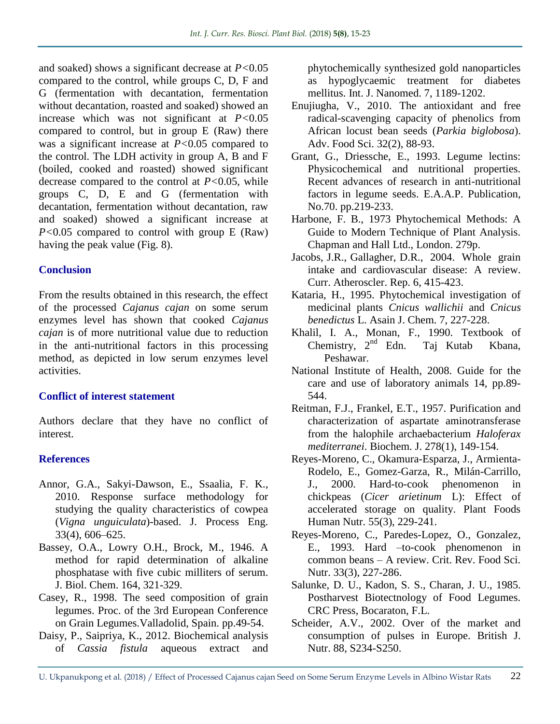and soaked) shows a significant decrease at *P<*0.05 compared to the control, while groups C, D, F and G (fermentation with decantation, fermentation without decantation, roasted and soaked) showed an increase which was not significant at *P<*0.05 compared to control, but in group E (Raw) there was a significant increase at *P<*0.05 compared to the control. The LDH activity in group A, B and F (boiled, cooked and roasted) showed significant decrease compared to the control at *P<*0.05, while groups C, D, E and G (fermentation with decantation, fermentation without decantation, raw and soaked) showed a significant increase at *P<*0.05 compared to control with group E (Raw) having the peak value (Fig. 8).

#### **Conclusion**

From the results obtained in this research, the effect of the processed *Cajanus cajan* on some serum enzymes level has shown that cooked *Cajanus cajan* is of more nutritional value due to reduction in the anti-nutritional factors in this processing method*,* as depicted in low serum enzymes level activities.

#### **Conflict of interest statement**

Authors declare that they have no conflict of interest.

## **References**

- Annor, G.A., Sakyi-Dawson, E., Ssaalia, F. K., 2010. Response surface methodology for studying the quality characteristics of cowpea (*Vigna unguiculata*)-based. J. Process Eng. 33(4), 606–625.
- Bassey, O.A., Lowry O.H., Brock, M., 1946. A method for rapid determination of alkaline phosphatase with five cubic milliters of serum. J. Biol. Chem. 164, 321-329.
- Casey, R., 1998. The seed composition of grain legumes. Proc. of the 3rd European Conference on Grain Legumes.Valladolid, Spain. pp.49-54.
- Daisy, P., Saipriya, K., 2012. Biochemical analysis of *Cassia fistula* aqueous extract and

phytochemically synthesized gold nanoparticles as hypoglycaemic treatment for diabetes mellitus. Int. J. Nanomed. 7, 1189-1202.

- Enujiugha, V., 2010. The antioxidant and free radical-scavenging capacity of phenolics from African locust bean seeds (*Parkia biglobosa*). Adv. Food Sci. 32(2), 88-93.
- Grant, G., Driessche, E., 1993. Legume lectins: Physicochemical and nutritional properties. Recent advances of research in anti-nutritional factors in legume seeds. E.A.A.P. Publication, No.70. pp.219-233.
- Harbone, F. B., 1973 Phytochemical Methods: A Guide to Modern Technique of Plant Analysis. Chapman and Hall Ltd., London. 279p.
- Jacobs, J.R., Gallagher, D.R., 2004. Whole grain intake and cardiovascular disease: A review. Curr. Atheroscler. Rep. 6, 415-423.
- Kataria, H., 1995. Phytochemical investigation of medicinal plants *Cnicus wallichii* and *Cnicus benedictus* L. Asain J. Chem. 7, 227-228.
- Khalil, I. A., Monan, F., 1990. Textbook of Chemistry,  $2^{nd}$  Edn. Taj Kutab Kbana, Peshawar.
- National Institute of Health, 2008. Guide for the care and use of laboratory animals 14, pp.89- 544.
- Reitman, F.J., Frankel, E.T., 1957. Purification and characterization of aspartate aminotransferase from the halophile archaebacterium *Haloferax mediterranei*. Biochem. J. 278(1), 149-154.
- Reyes-Moreno, C., Okamura-Esparza, J., Armienta-Rodelo, E., Gomez-Garza, R., Milán-Carrillo, J., 2000. Hard-to-cook phenomenon in chickpeas (*Cicer arietinum* L): Effect of accelerated storage on quality. Plant Foods Human Nutr. 55(3), 229-241.
- Reyes-Moreno, C., Paredes-Lopez, O., Gonzalez, E., 1993. Hard –to-cook phenomenon in common beans – A review. Crit. Rev. Food Sci. Nutr. 33(3), 227-286.
- Salunke, D. U., Kadon, S. S., Charan, J. U., 1985. Postharvest Biotectnology of Food Legumes. CRC Press, Bocaraton, F.L.
- Scheider, A.V., 2002. Over of the market and consumption of pulses in Europe. British J. Nutr. 88, S234-S250.